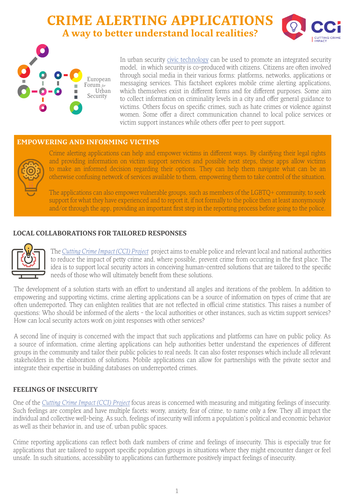# **CRIME ALERTING APPLICATIONS A way to better understand local realities?**





In urban security [civic technology](https://efus-network.eu/efus/files/2020/09/factsheet_civic-tech_EN.pdf) can be used to promote an integrated security model, in which security is co-produced with citizens. Citizens are often involved through social media in their various forms: platforms, networks, applications or messaging services. This factsheet explores mobile crime alerting applications, which themselves exist in different forms and for different purposes. Some aim to collect information on criminality levels in a city and offer general guidance to victims. Others focus on specific crimes, such as hate crimes or violence against women. Some offer a direct communication channel to local police services or victim support instances while others offer peer to peer support.

#### **EMPOWERING AND INFORMING VICTIMS**



Crime alerting applications can help and empower victims in different ways. By clarifying their legal rights and providing information on victim support services and possible next steps, these apps allow victims to make an informed decision regarding their options. They can help them navigate what can be an otherwise confusing network of services available to them, empowering them to take control of the situation.

The applications can also empower vulnerable groups, such as members of the LGBTQ+ community, to seek support for what they have experienced and to report it, if not formally to the police then at least anonymously and/or through the app, providing an important first step in the reporting process before going to the police.

## **LOCAL COLLABORATIONS FOR TAILORED RESPONSES**



The *[Cutting Crime Impact \(CCI\) Project](https://www.cuttingcrimeimpact.eu/about/introduction-to-cci/)* project aims to enable police and relevant local and national authorities to reduce the impact of petty crime and, where possible, prevent crime from occurring in the first place. The idea is to support local security actors in conceiving human-centred solutions that are tailored to the specific needs of those who will ultimately benefit from these solutions.

The development of a solution starts with an effort to understand all angles and iterations of the problem. In addition to empowering and supporting victims, crime alerting applications can be a source of information on types of crime that are often underreported. They can enlighten realities that are not reflected in official crime statistics. This raises a number of questions: Who should be informed of the alerts - the local authorities or other instances, such as victim support services? How can local security actors work on joint responses with other services?

A second line of inquiry is concerned with the impact that such applications and platforms can have on public policy. As a source of information, crime alerting applications can help authorities better understand the experiences of different groups in the community and tailor their public policies to real needs. It can also foster responses which include all relevant stakeholders in the elaboration of solutions. Mobile applications can allow for partnerships with the private sector and integrate their expertise in building databases on underreported crimes.

## **FEELINGS OF INSECURITY**

One of the *[Cutting Crime Impact \(CCI\) Project](https://www.cuttingcrimeimpact.eu/about/introduction-to-cci/)* focus areas is concerned with measuring and mitigating feelings of insecurity. Such feelings are complex and have multiple facets: worry, anxiety, fear of crime, to name only a few. They all impact the individual and collective well-being. As such, feelings of insecurity will inform a population's political and economic behavior as well as their behavior in, and use of, urban public spaces.

Crime reporting applications can reflect both dark numbers of crime and feelings of insecurity. This is especially true for applications that are tailored to support specific population groups in situations where they might encounter danger or feel unsafe. In such situations, accessibility to applications can furthermore positively impact feelings of insecurity.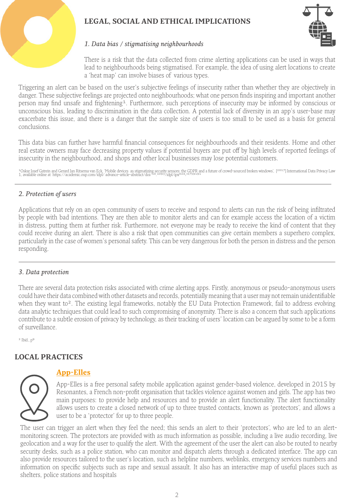# **LEGAL, SOCIAL AND ETHICAL IMPLICATIONS**



#### *1. Data bias / stigmatising neighbourhoods*

There is a risk that the data collected from crime alerting applications can be used in ways that lead to neighbourhoods being stigmatised. For example, the idea of using alert locations to create a 'heat map' can involve biases of various types.

Triggering an alert can be based on the user's subjective feelings of insecurity rather than whether they are objectively in danger. These subjective feelings are projected onto neighbourhoods; what one person finds inspiring and important another person may find unsafe and frightening<sup>1</sup>. Furthermore, such perceptions of insecurity may be informed by conscious or unconscious bias, leading to discrimination in the data collection. A potential lack of diversity in an app's user-base may exacerbate this issue, and there is a danger that the sample size of users is too small to be used as a basis for general conclusions.

This data bias can further have harmful financial consequences for neighbourhoods and their residents. Home and other real estate owners may face decreasing property values if potential buyers are put off by high levels of reported feelings of insecurity in the neighbourhood, and shops and other local businesses may lose potential customers.

<sup>1</sup>Oskar Josef Gstrein and Gerard Jan Ritsema van Eck, 'Mobile devices as stigmatizing security sensors: the GDPR and a future of crowd-sourced broken windows', [<sup>2017</sup>] International Data Privacy Law<br>1, available online a

#### *2. Protection of users*

Applications that rely on an open community of users to receive and respond to alerts can run the risk of being infiltrated by people with bad intentions. They are then able to monitor alerts and can for example access the location of a victim in distress, putting them at further risk. Furthermore, not everyone may be ready to receive the kind of content that they could receive during an alert. There is also a risk that open communities can give certain members a superhero complex, particularly in the case of women's personal safety. This can be very dangerous for both the person in distress and the person responding.

#### *3. Data protection*

There are several data protection risks associated with crime alerting apps. Firstly, anonymous or pseudo-anonymous users could have their data combined with other datasets and records, potentially meaning that a user may not remain unidentifiable when they want to<sup>2</sup>. The existing legal frameworks, notably the EU Data Protection Framework, fail to address evolving data analytic techniques that could lead to such compromising of anonymity. There is also a concern that such applications contribute to a subtle erosion of privacy by technology, as their tracking of users' location can be argued by some to be a form of surveillance.

 $2$  Ibid.,  $p<sup>9</sup>$ 

## **LOCAL PRACTICES**



## **[App-Elles](https://www.app-elles.fr/index_en.html)**

App-Elles is a free personal safety mobile application against gender-based violence, developed in 2015 by Resonantes, a French non-profit organisation that tackles violence against women and girls. The app has two main purposes: to provide help and resources and to provide an alert functionality. The alert functionality allows users to create a closed network of up to three trusted contacts, known as 'protectors', and allows a user to be a 'protector' for up to three people.

The user can trigger an alert when they feel the need; this sends an alert to their 'protectors', who are led to an alertmonitoring screen. The protectors are provided with as much information as possible, including a live audio recording, live geolocation and a way for the user to qualify the alert. With the agreement of the user the alert can also be routed to nearby security desks, such as a police station, who can monitor and dispatch alerts through a dedicated interface. The app can also provide resources tailored to the user's location, such as helpline numbers, weblinks, emergency services numbers and information on specific subjects such as rape and sexual assault. It also has an interactive map of useful places such as shelters, police stations and hospitals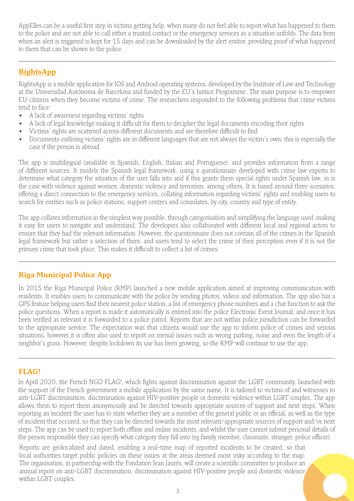AppElles can be a useful first step in victims getting help, when many do not feel able to report what has happened to them to the police and are not able to call either a trusted contact or the emergency services as a situation unfolds. The data from when an alert is triggered is kept for 15 days and can be downloaded by the alert emitor, providing proof of what happened to them that can be shown to the police.

# **[RightsApp](http://rightsapp-project.uab.cat/)**

RightsApp is a mobile application for IOS and Android operating systems, developed by the Institute of Law and Technology at the Universidad Autónoma de Barcelona and funded by the EU's Justice Programme. The main purpose is to empower EU citizens when they become victims of crime. The researchers responded to the following problems that crime victims tend to face:

- A lack of awareness regarding victims' rights
- A lack of legal knowledge making it difficult for them to decipher the legal documents encoding their rights
- Victims' rights are scattered across different documents and are therefore difficult to find
- Documents outlining victims' rights are in different languages that are not always the victim's own; this is especially the case if the person is abroad

The app is multilingual (available in Spanish, English, Italian and Portuguese), and provides information from a range of different sources. It models the Spanish legal framework, using a questionnaire developed with crime law experts to determine what category the situation of the user falls into and if this grants them special rights under Spanish law, as is the case with violence against women, domestic violence and terrorism, among others. It is based around three scenarios, offering a direct connection to the emergency services, collating information regarding victims' rights and enabling users to search for entities such as police stations, support centres and consulates, by city, country and type of entity.

The app collates information in the simplest way possible, through categorisation and simplifying the language used, making it easy for users to navigate and understand. The developers also collaborated with different local and regional actors to ensure that they had the relevant information. However, the questionnaire does not contain all of the crimes in the Spanish legal framework but rather a selection of them, and users tend to select the crime of their perception even if it is not the primary crime that took place. This makes it difficult to collect a list of crimes.

## **Riga Municipal Police App**

In 2015 the Riga Municipal Police (RMP) launched a new mobile application aimed at improving communication with residents. It enables users to communicate with the police by sending photos, videos and information. The app also has a GPS feature helping users find their nearest police station, a list of emergency phone numbers and a chat function to ask the police questions. When a report is made it automatically is entered into the police Electronic Event Journal, and once it has been verified as relevant it is forwarded to a police patrol. Reports that are not within police jurisdiction can be forwarded to the appropriate service. The expectation was that citizens would use the app to inform police of crimes and serious situations, however it is often also used to report on menial issues such as wrong parking, noise and even the length of a neighbor's grass. However, despite lockdown its use has been growing, so the RMP will continue to use the app.

## **FLAG!**

In April 2020, the French NGO FLAG!, which fights against discrimination against the LGBT community, launched with the support of the French government a mobile application by the same name. It is tailored to victims of and witnesses to anti-LGBT discrimination, discrimination against HIV-positive people or domestic violence within LGBT couples. The app allows them to report them anonymously and be directed towards appropriate sources of support and next steps. When reporting an incident the user has to state whether they are a member of the general public or an official, as well as the type of incident that occured, so that they can be directed towards the most relevant/appropriate sources of support and/or next steps. The app can be used to report both offline and online incidents, and whilst the user cannot submit personal details of the person responsible they can specify what category they fall into (eg family member, classmate, stranger, police officer).

Reports are geolocalized and dated, enabling a real-time map of reported incidents to be created, so that local authorities target public policies on these issues at the areas deemed most risky according to the map. The organisation, in partnership with the Fondation Jean Jaurès, will create a scientific committee to produce an annual report on anti-LGBT discrimination, discrimination against HIV-positive people and domestic violence within LGBT couples.